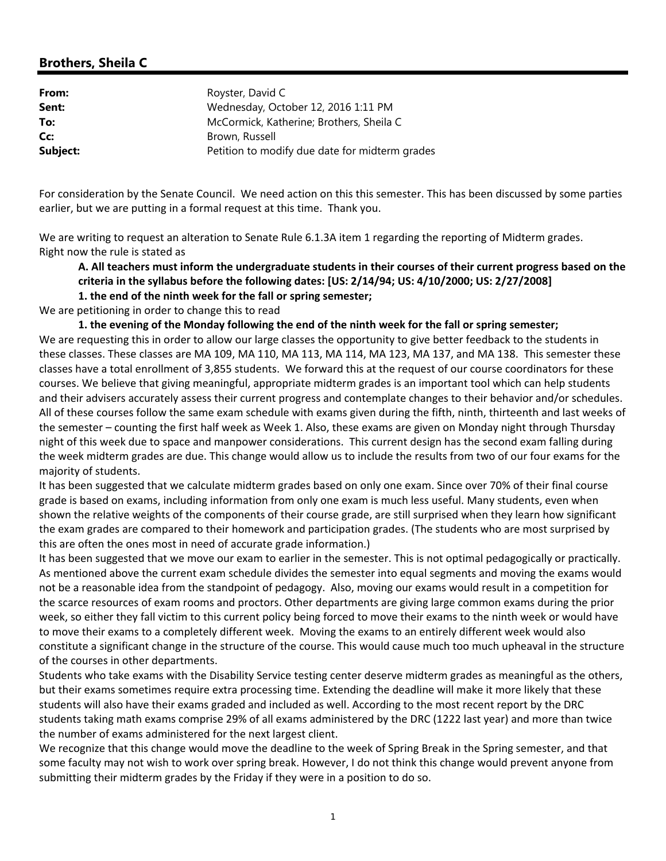## **Brothers, Sheila C**

| From:    | Royster, David C                               |
|----------|------------------------------------------------|
| Sent:    | Wednesday, October 12, 2016 1:11 PM            |
| To:      | McCormick, Katherine; Brothers, Sheila C       |
| Cc:      | Brown, Russell                                 |
| Subject: | Petition to modify due date for midterm grades |

For consideration by the Senate Council. We need action on this this semester. This has been discussed by some parties earlier, but we are putting in a formal request at this time. Thank you.

We are writing to request an alteration to Senate Rule 6.1.3A item 1 regarding the reporting of Midterm grades. Right now the rule is stated as

## A. All teachers must inform the undergraduate students in their courses of their current progress based on the **criteria in the syllabus before the following dates: [US: 2/14/94; US: 4/10/2000; US: 2/27/2008]**

**1. the end of the ninth week for the fall or spring semester;**

We are petitioning in order to change this to read

1. the evening of the Monday following the end of the ninth week for the fall or spring semester; We are requesting this in order to allow our large classes the opportunity to give better feedback to the students in these classes. These classes are MA 109, MA 110, MA 113, MA 114, MA 123, MA 137, and MA 138. This semester these classes have a total enrollment of 3,855 students. We forward this at the request of our course coordinators for these courses. We believe that giving meaningful, appropriate midterm grades is an important tool which can help students and their advisers accurately assess their current progress and contemplate changes to their behavior and/or schedules. All of these courses follow the same exam schedule with exams given during the fifth, ninth, thirteenth and last weeks of the semester – counting the first half week as Week 1. Also, these exams are given on Monday night through Thursday night of this week due to space and manpower considerations. This current design has the second exam falling during the week midterm grades are due. This change would allow us to include the results from two of our four exams for the majority of students.

It has been suggested that we calculate midterm grades based on only one exam. Since over 70% of their final course grade is based on exams, including information from only one exam is much less useful. Many students, even when shown the relative weights of the components of their course grade, are still surprised when they learn how significant the exam grades are compared to their homework and participation grades. (The students who are most surprised by this are often the ones most in need of accurate grade information.)

It has been suggested that we move our exam to earlier in the semester. This is not optimal pedagogically or practically. As mentioned above the current exam schedule divides the semester into equal segments and moving the exams would not be a reasonable idea from the standpoint of pedagogy. Also, moving our exams would result in a competition for the scarce resources of exam rooms and proctors. Other departments are giving large common exams during the prior week, so either they fall victim to this current policy being forced to move their exams to the ninth week or would have to move their exams to a completely different week. Moving the exams to an entirely different week would also constitute a significant change in the structure of the course. This would cause much too much upheaval in the structure of the courses in other departments.

Students who take exams with the Disability Service testing center deserve midterm grades as meaningful as the others, but their exams sometimes require extra processing time. Extending the deadline will make it more likely that these students will also have their exams graded and included as well. According to the most recent report by the DRC students taking math exams comprise 29% of all exams administered by the DRC (1222 last year) and more than twice the number of exams administered for the next largest client.

We recognize that this change would move the deadline to the week of Spring Break in the Spring semester, and that some faculty may not wish to work over spring break. However, I do not think this change would prevent anyone from submitting their midterm grades by the Friday if they were in a position to do so.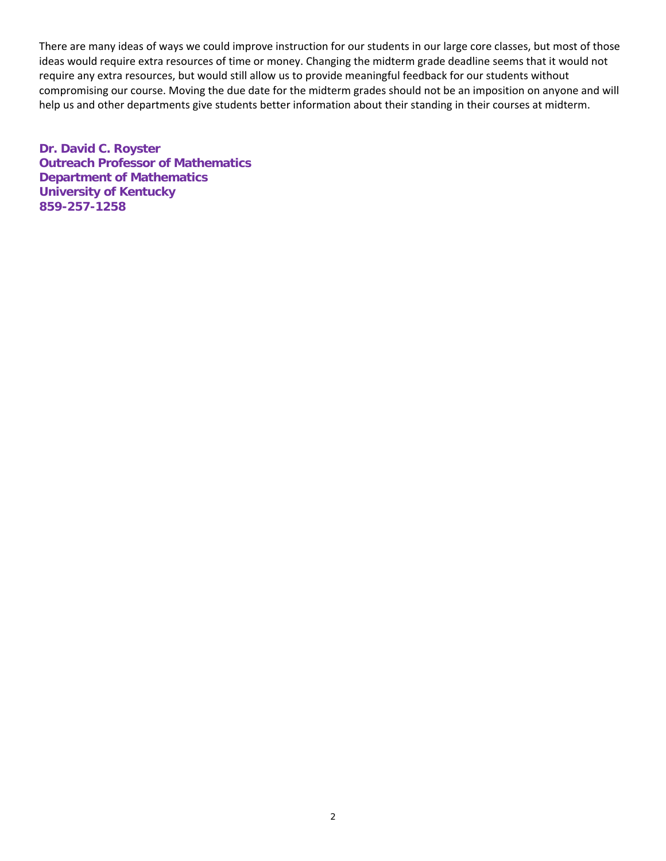There are many ideas of ways we could improve instruction for our students in our large core classes, but most of those ideas would require extra resources of time or money. Changing the midterm grade deadline seems that it would not require any extra resources, but would still allow us to provide meaningful feedback for our students without compromising our course. Moving the due date for the midterm grades should not be an imposition on anyone and will help us and other departments give students better information about their standing in their courses at midterm.

**Dr. David C. Royster Outreach Professor of Mathematics Department of Mathematics University of Kentucky 859-257-1258**